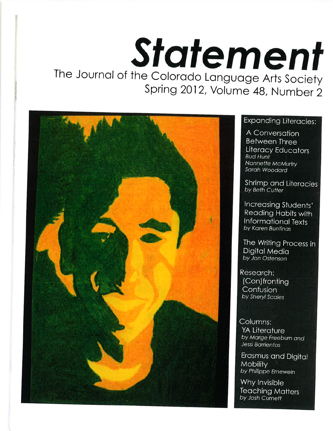# Statement The Journal of the Colorado Language Arts Society Spring 2012, Volume 48, Number 2



### Expanding Literacies:

A Conversation **Between Three** Literacy Educators **Bud Hunt** Nannette McMurtry Sarah Woodard

**Shrimp and Literacies** by Beth Cutter

Increasing Students' **Reading Habits with Informational Texts** by Karen Buntinas

The Writing Process in **Digital Media** by Jon Ostenson

Research: (Con)fronting Confusion by Sheryl Scales

Columns: YA Literature by Marge Freeburn and Jessi Barrientos

Erasmus and Digital **Mobility** by Philippe Ernewein

Why Invisible **Teaching Matters** by Josh Curnett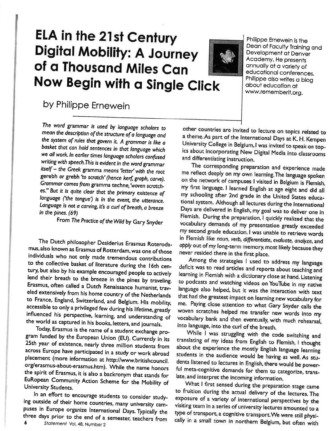# ELA in the 21st Century **Digital Mobility: A Journey** of a Thousand Miles Can Now Begin with a Single Click



Philippe Ernewein is the Dean of Faculty Training and Development at Denver Academy. He presents annually at a variety of educational conferences. Philippe also writes a blog about education at www.rememberit.org.

## by Philippe Ernewein

The word grammar is used by language scholars to mean the description of the structure of a language and the system of rules that govern it. A grammar is like a basket that can hold sentences in that language which we all work. In earlier times language scholars confused writing with speech. This is evident in the word grammar itself - the Greek gramma means 'letter' with the root gerebh or grebh 'to scratch' (hence kerf, graph, carve). Grammar comes from gramma techne, 'woven scratches." But it is quite clear that the primary existence of language ('the tongue') is in the event, the utterance. Language is not a carving, it's a curl of breath, a breeze in the pines. (69)

From The Practice of the Wild by Gary Snyder

The Dutch philosopher Desiderius Erasmus Roterodamus, also known as Erasmus of Rotterdam, was one of those individuals who not only made tremendous contributions to the collective basket of literature during the 16th century, but also by his example encouraged people to actively lend their breath to the breeze in the pines by traveling. Erasmus, often called a Dutch Renaissance humanist, traveled extensively from his home country of the Netherlands to France, England, Switzerland, and Belgium. His mobility, accessible to only a privileged few during his lifetime, greatly influenced his perspective, learning, and understanding of the world as captured in his books, letters, and journals.

Today, Erasmus is the name of a student exchange program funded by the European Union (EU). Currently in its 25th year of existence, nearly three million students from across Europe have participated in a study or work abroad placement (more information at http://www.britishcouncil. org/erasmus-about-erasmus.htm). While the name honors the spirit of Erasmus, it is also a backronym that stands for EuRopean Community Action Scheme for the Mobility of University Students.

In an effort to encourage students to consider studying outside of their home countries, many university campuses in Europe organize International Days. Typically the three days prior to the end of a semester, teachers from 6

other countries are invited to lecture on topics related to a theme. As part of the International Days at K. H. Kempen University College in Belgium, I was invited to speak on topics about incorporating New Digital Media into classrooms and differentiating instruction.

The corresponding preparation and experience made me reflect deeply on my own learning. The language spoken on the network of campuses I visited in Belgium is Flemish, my first language. I learned English at age eight and did all my schooling after 2nd grade in the United States educational system. Although all lectures during the International Days are delivered in English, my goal was to deliver one in Flemish. During the preparation, I quickly realized that the vocabulary demands of my presentation greatly exceeded my second grade education. I was unable to retrieve words in Flemish like noun, verb, differentiate, evaluate, analyze, and apply out of my long-term memory, most likely because they never resided there in the first place.

Among the strategies I used to address my language deficit was to read articles and reports about teaching and learning in Flemish with a dictionary close at hand. Listening to podcasts and watching videos on YouTube in my native language also helped, but it was the interaction with text that had the greatest impact on learning new vocabulary for me. Paying close attention to what Gary Snyder calls the woven scratches helped me transfer new words into my vocabulary bank and then eventually, with much rehearsal, into language, into the curl of the breath.

While I was struggling with the code switching and translating of my ideas from English to Flemish, I thought about the experience the mostly English language learning students in the audience would be having as well. As students listened to lectures in English, there would be powerful meta-cognitive demands for them to categorize, translate, and interpret the incoming information.

What I first sensed during the preparation stage came to fruition during the actual delivery of the lectures. The exposure of a variety of international perspectives by the visiting team in a series of university lectures amounted to a type of transport, a cognitive transport. We were still physically in a small town in northern Belgium, but often with